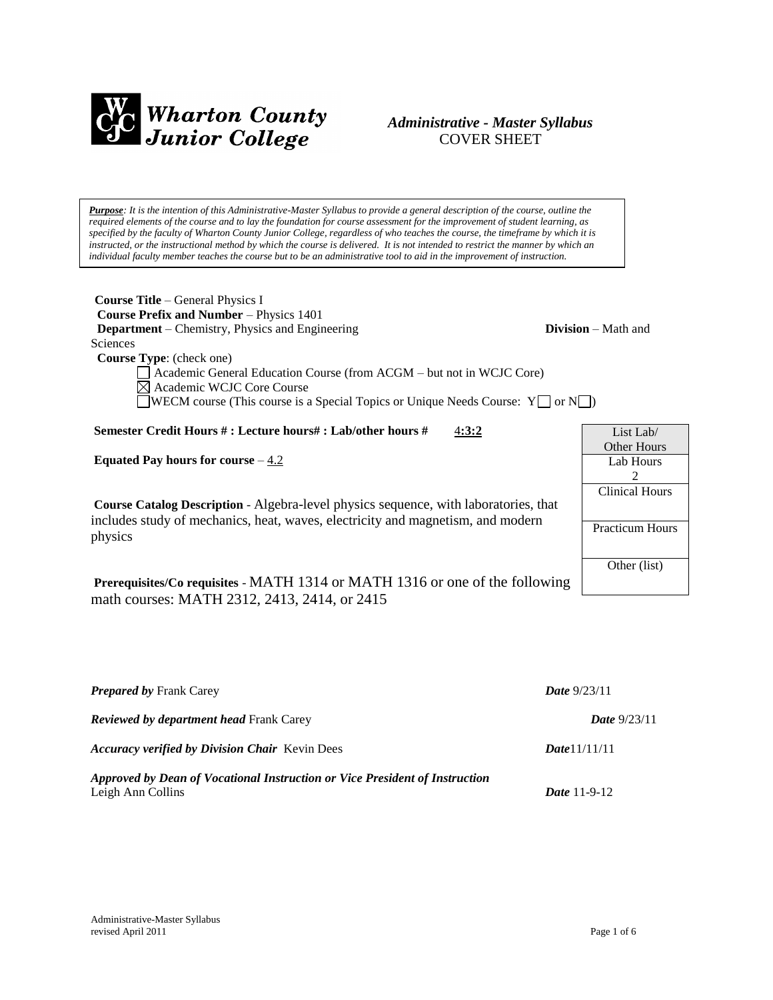

## *Administrative - Master Syllabus*  COVER SHEET

*Purpose: It is the intention of this Administrative-Master Syllabus to provide a general description of the course, outline the required elements of the course and to lay the foundation for course assessment for the improvement of student learning, as specified by the faculty of Wharton County Junior College, regardless of who teaches the course, the timeframe by which it is instructed, or the instructional method by which the course is delivered. It is not intended to restrict the manner by which an individual faculty member teaches the course but to be an administrative tool to aid in the improvement of instruction.*

| <b>Course Title</b> – General Physics I                                                |                              |
|----------------------------------------------------------------------------------------|------------------------------|
| <b>Course Prefix and Number - Physics 1401</b>                                         |                              |
| <b>Department</b> – Chemistry, Physics and Engineering                                 | <b>Division</b> $-$ Math and |
| Sciences                                                                               |                              |
| <b>Course Type:</b> (check one)                                                        |                              |
| Academic General Education Course (from ACGM - but not in WCJC Core)                   |                              |
| $\boxtimes$ Academic WCJC Core Course                                                  |                              |
| <b>NECM</b> course (This course is a Special Topics or Unique Needs Course: $Y \cap Y$ |                              |
|                                                                                        |                              |

**Semester Credit Hours # : Lecture hours# : Lab/other hours #** 4**:3:2**

**Equated Pay hours for course**  $-4.2$ 

**Course Catalog Description** - Algebra-level physics sequence, with laboratories, that includes study of mechanics, heat, waves, electricity and magnetism, and modern physics

**Prerequisites/Co requisites** - MATH 1314 or MATH 1316 or one of the following math courses: MATH 2312, 2413, 2414, or 2415

| <b>Prepared by Frank Carey</b>                                              | <b>Date</b> $9/23/11$ |
|-----------------------------------------------------------------------------|-----------------------|
| <b>Reviewed by department head Frank Carey</b>                              | <b>Date</b> $9/23/11$ |
| <b>Accuracy verified by Division Chair Kevin Dees</b>                       | Date 11/11/11         |
| Approved by Dean of Vocational Instruction or Vice President of Instruction |                       |
| Leigh Ann Collins                                                           | <b>Date</b> 11-9-12   |

List Lab/ Other Hours Lab Hours 2 Clinical Hours

Practicum Hours

Other (list)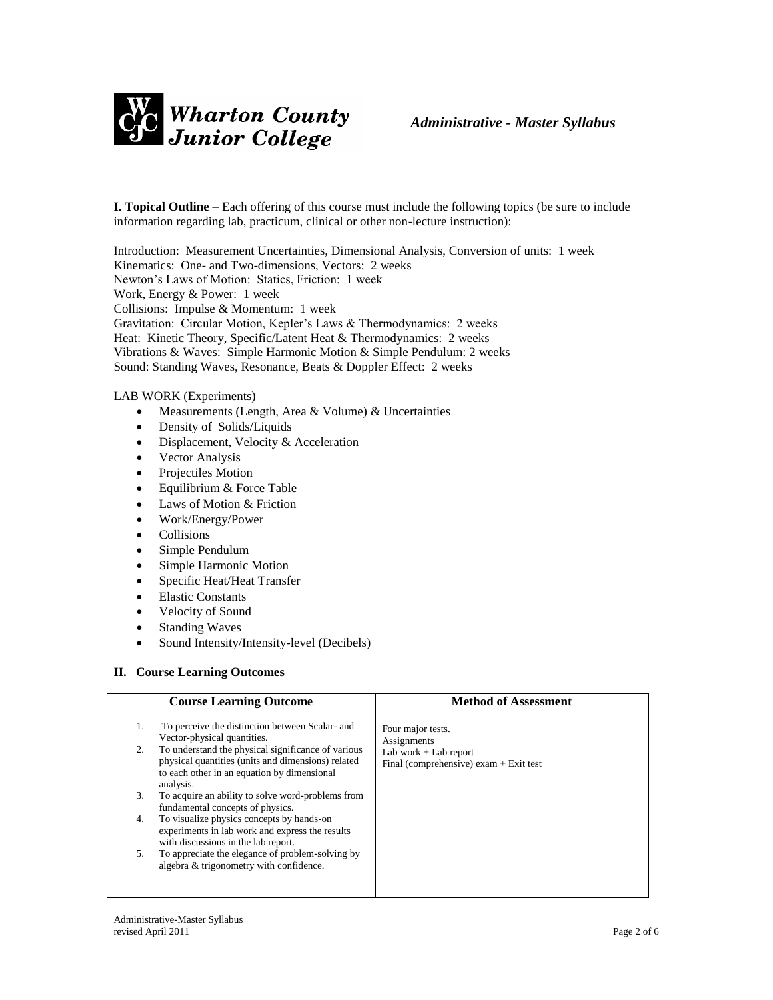

**I. Topical Outline** – Each offering of this course must include the following topics (be sure to include information regarding lab, practicum, clinical or other non-lecture instruction):

Introduction: Measurement Uncertainties, Dimensional Analysis, Conversion of units: 1 week Kinematics: One- and Two-dimensions, Vectors: 2 weeks Newton's Laws of Motion: Statics, Friction: 1 week Work, Energy & Power: 1 week Collisions: Impulse & Momentum: 1 week Gravitation: Circular Motion, Kepler's Laws & Thermodynamics: 2 weeks Heat: Kinetic Theory, Specific/Latent Heat & Thermodynamics: 2 weeks Vibrations & Waves: Simple Harmonic Motion & Simple Pendulum: 2 weeks Sound: Standing Waves, Resonance, Beats & Doppler Effect: 2 weeks

### LAB WORK (Experiments)

- Measurements (Length, Area & Volume) & Uncertainties
- Density of Solids/Liquids
- Displacement, Velocity & Acceleration
- Vector Analysis
- Projectiles Motion
- $\bullet$  Equilibrium & Force Table
- Laws of Motion & Friction
- Work/Energy/Power
- Collisions
- Simple Pendulum
- Simple Harmonic Motion
- Specific Heat/Heat Transfer
- Elastic Constants
- Velocity of Sound
- Standing Waves
- Sound Intensity/Intensity-level (Decibels)

### **II. Course Learning Outcomes**

|    | <b>Course Learning Outcome</b>                                                                                                                                       | <b>Method of Assessment</b>                                         |
|----|----------------------------------------------------------------------------------------------------------------------------------------------------------------------|---------------------------------------------------------------------|
| 1. | To perceive the distinction between Scalar- and<br>Vector-physical quantities.                                                                                       | Four major tests.<br>Assignments                                    |
| 2. | To understand the physical significance of various<br>physical quantities (units and dimensions) related<br>to each other in an equation by dimensional<br>analysis. | Lab work $+$ Lab report<br>Final (comprehensive) exam $+$ Exit test |
| 3. | To acquire an ability to solve word-problems from<br>fundamental concepts of physics.                                                                                |                                                                     |
| 4. | To visualize physics concepts by hands-on<br>experiments in lab work and express the results<br>with discussions in the lab report.                                  |                                                                     |
| 5. | To appreciate the elegance of problem-solving by<br>algebra & trigonometry with confidence.                                                                          |                                                                     |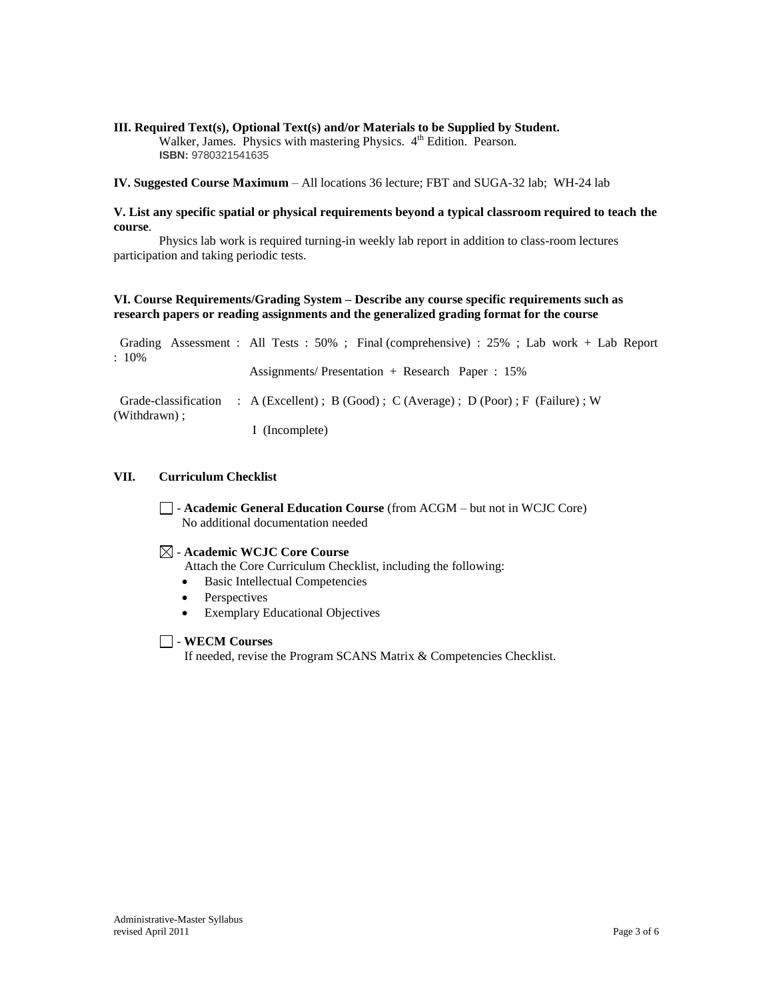#### **III. Required Text(s), Optional Text(s) and/or Materials to be Supplied by Student.** Walker, James. Physics with mastering Physics. 4<sup>th</sup> Edition. Pearson. **ISBN:** 9780321541635

**IV. Suggested Course Maximum** – All locations 36 lecture; FBT and SUGA-32 lab; WH-24 lab

### **V. List any specific spatial or physical requirements beyond a typical classroom required to teach the course**.

Physics lab work is required turning-in weekly lab report in addition to class-room lectures participation and taking periodic tests.

### **VI. Course Requirements/Grading System – Describe any course specific requirements such as research papers or reading assignments and the generalized grading format for the course**

| $: 10\%$     | Grading Assessment: All Tests: 50%; Final (comprehensive): 25%; Lab work + Lab Report |
|--------------|---------------------------------------------------------------------------------------|
|              | Assignments/Presentation + Research Paper : $15\%$                                    |
| (Withdrawn): | Grade-classification : A (Excellent); B (Good); C (Average); D (Poor); F (Failure); W |
|              | I (Incomplete)                                                                        |

### **VII. Curriculum Checklist**

- **Academic General Education Course** (from ACGM – but not in WCJC Core) No additional documentation needed

## - **Academic WCJC Core Course**

Attach the Core Curriculum Checklist, including the following:

- Basic Intellectual Competencies
- Perspectives
- Exemplary Educational Objectives

## - **WECM Courses**

If needed, revise the Program SCANS Matrix & Competencies Checklist.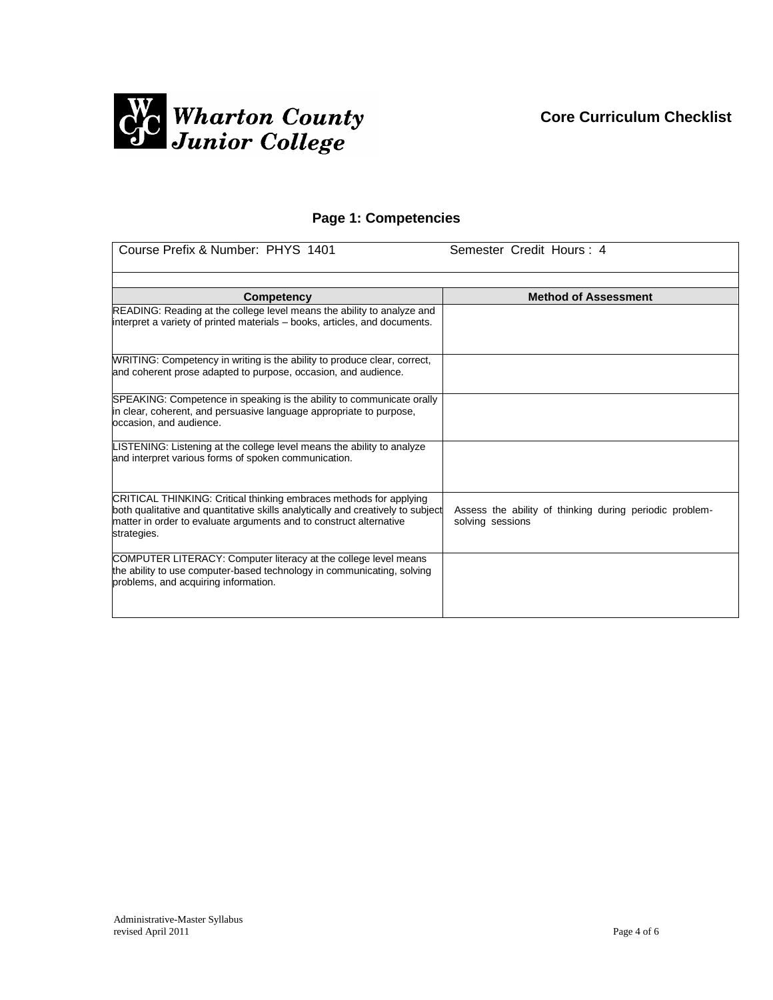

# **Page 1: Competencies**

| Course Prefix & Number: PHYS 1401                                                                                                                                                                                                          | Semester Credit Hours: 4                                                    |
|--------------------------------------------------------------------------------------------------------------------------------------------------------------------------------------------------------------------------------------------|-----------------------------------------------------------------------------|
| Competency                                                                                                                                                                                                                                 | <b>Method of Assessment</b>                                                 |
| READING: Reading at the college level means the ability to analyze and<br>interpret a variety of printed materials - books, articles, and documents.                                                                                       |                                                                             |
| WRITING: Competency in writing is the ability to produce clear, correct,<br>and coherent prose adapted to purpose, occasion, and audience.                                                                                                 |                                                                             |
| SPEAKING: Competence in speaking is the ability to communicate orally<br>in clear, coherent, and persuasive language appropriate to purpose,<br>occasion, and audience.                                                                    |                                                                             |
| LISTENING: Listening at the college level means the ability to analyze<br>and interpret various forms of spoken communication.                                                                                                             |                                                                             |
| CRITICAL THINKING: Critical thinking embraces methods for applying<br>both qualitative and quantitative skills analytically and creatively to subject<br>matter in order to evaluate arguments and to construct alternative<br>strategies. | Assess the ability of thinking during periodic problem-<br>solving sessions |
| COMPUTER LITERACY: Computer literacy at the college level means<br>the ability to use computer-based technology in communicating, solving<br>problems, and acquiring information.                                                          |                                                                             |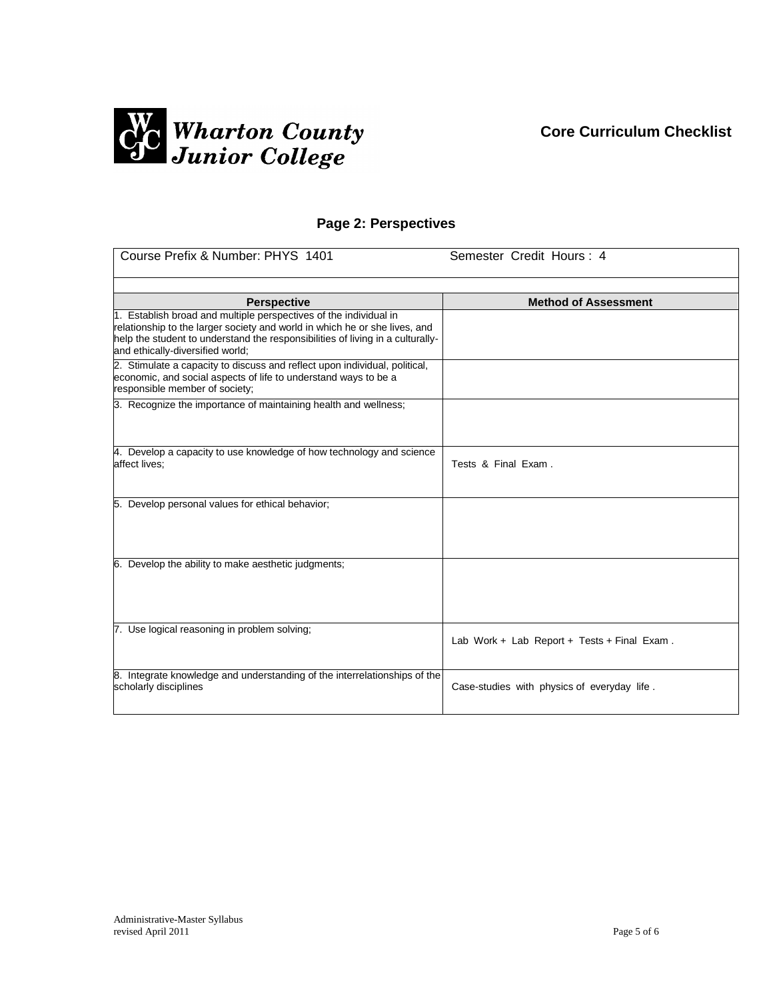# **Core Curriculum Checklist**



## **Page 2: Perspectives**

| Course Prefix & Number: PHYS 1401                                                                                                                                                                                                                                     | Semester Credit Hours: 4                    |
|-----------------------------------------------------------------------------------------------------------------------------------------------------------------------------------------------------------------------------------------------------------------------|---------------------------------------------|
| <b>Perspective</b>                                                                                                                                                                                                                                                    | <b>Method of Assessment</b>                 |
| 1. Establish broad and multiple perspectives of the individual in<br>relationship to the larger society and world in which he or she lives, and<br>help the student to understand the responsibilities of living in a culturally-<br>and ethically-diversified world; |                                             |
| 2. Stimulate a capacity to discuss and reflect upon individual, political,<br>economic, and social aspects of life to understand ways to be a<br>responsible member of society;                                                                                       |                                             |
| 3. Recognize the importance of maintaining health and wellness;                                                                                                                                                                                                       |                                             |
| 4. Develop a capacity to use knowledge of how technology and science<br>affect lives;                                                                                                                                                                                 | Tests & Final Exam.                         |
| 5. Develop personal values for ethical behavior;                                                                                                                                                                                                                      |                                             |
| 6. Develop the ability to make aesthetic judgments;                                                                                                                                                                                                                   |                                             |
| 7. Use logical reasoning in problem solving;                                                                                                                                                                                                                          | Lab Work + Lab Report + Tests + Final Exam. |
| 8. Integrate knowledge and understanding of the interrelationships of the<br>scholarly disciplines                                                                                                                                                                    | Case-studies with physics of everyday life. |